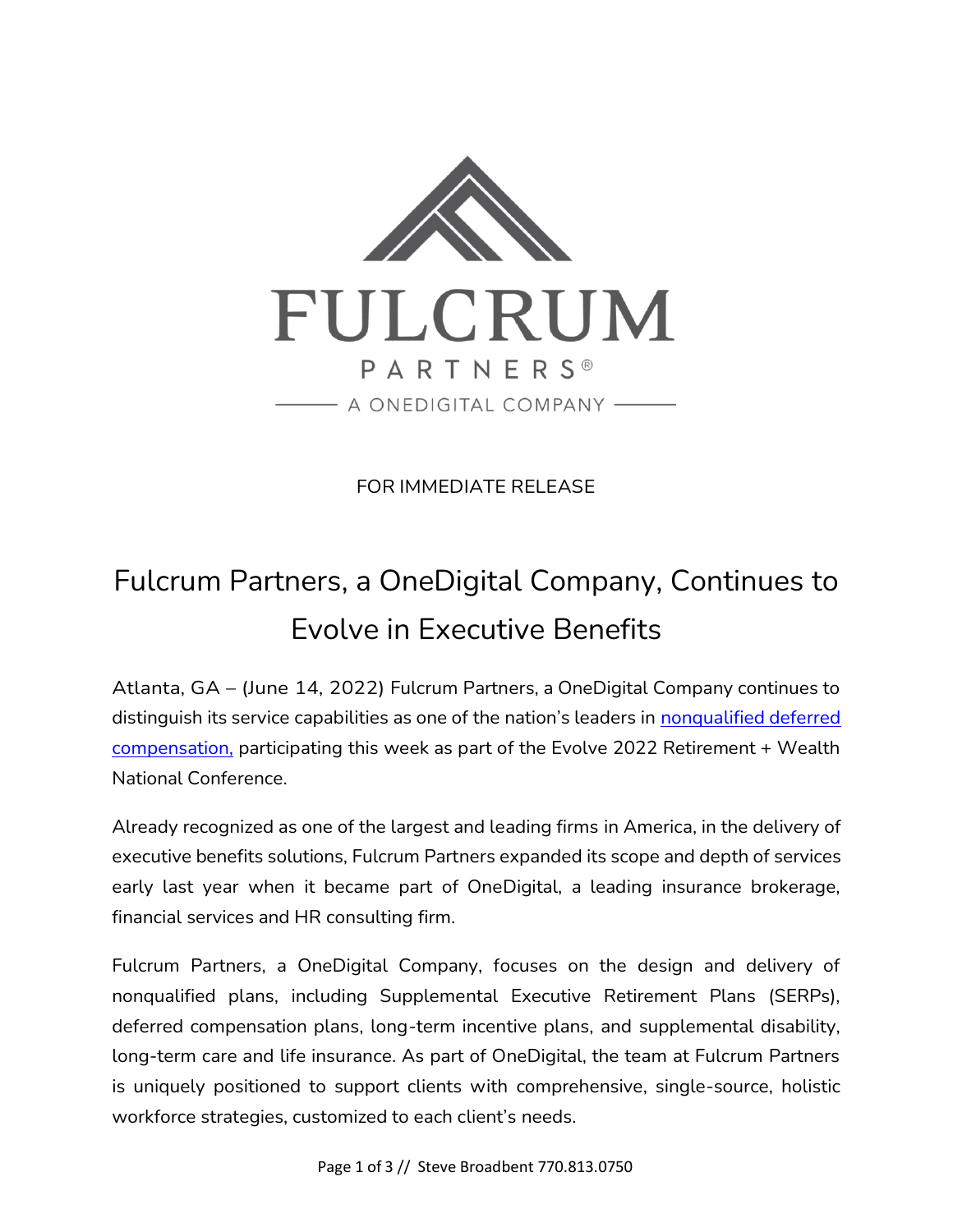

FOR IMMEDIATE RELEASE

## Fulcrum Partners, a OneDigital Company, Continues to Evolve in Executive Benefits

Atlanta, GA – (June 14, 2022) Fulcrum Partners, a OneDigital Company continues to distinguish its service capabilities as one of the nation's leaders in nonqualified deferred [compensation,](https://fulcrumpartnersllc.com/409a-nonqualified-deferred-compensation/) participating this week as part of the Evolve 2022 Retirement + Wealth National Conference.

Already recognized as one of the largest and leading firms in America, in the delivery of executive benefits solutions, Fulcrum Partners expanded its scope and depth of services early last year when it became part of OneDigital, a leading insurance brokerage, financial services and HR consulting firm.

Fulcrum Partners, a OneDigital Company, focuses on the design and delivery of nonqualified plans, including Supplemental Executive Retirement Plans (SERPs), deferred compensation plans, long-term incentive plans, and supplemental disability, long-term care and life insurance. As part of OneDigital, the team at Fulcrum Partners is uniquely positioned to support clients with comprehensive, single-source, holistic workforce strategies, customized to each client's needs.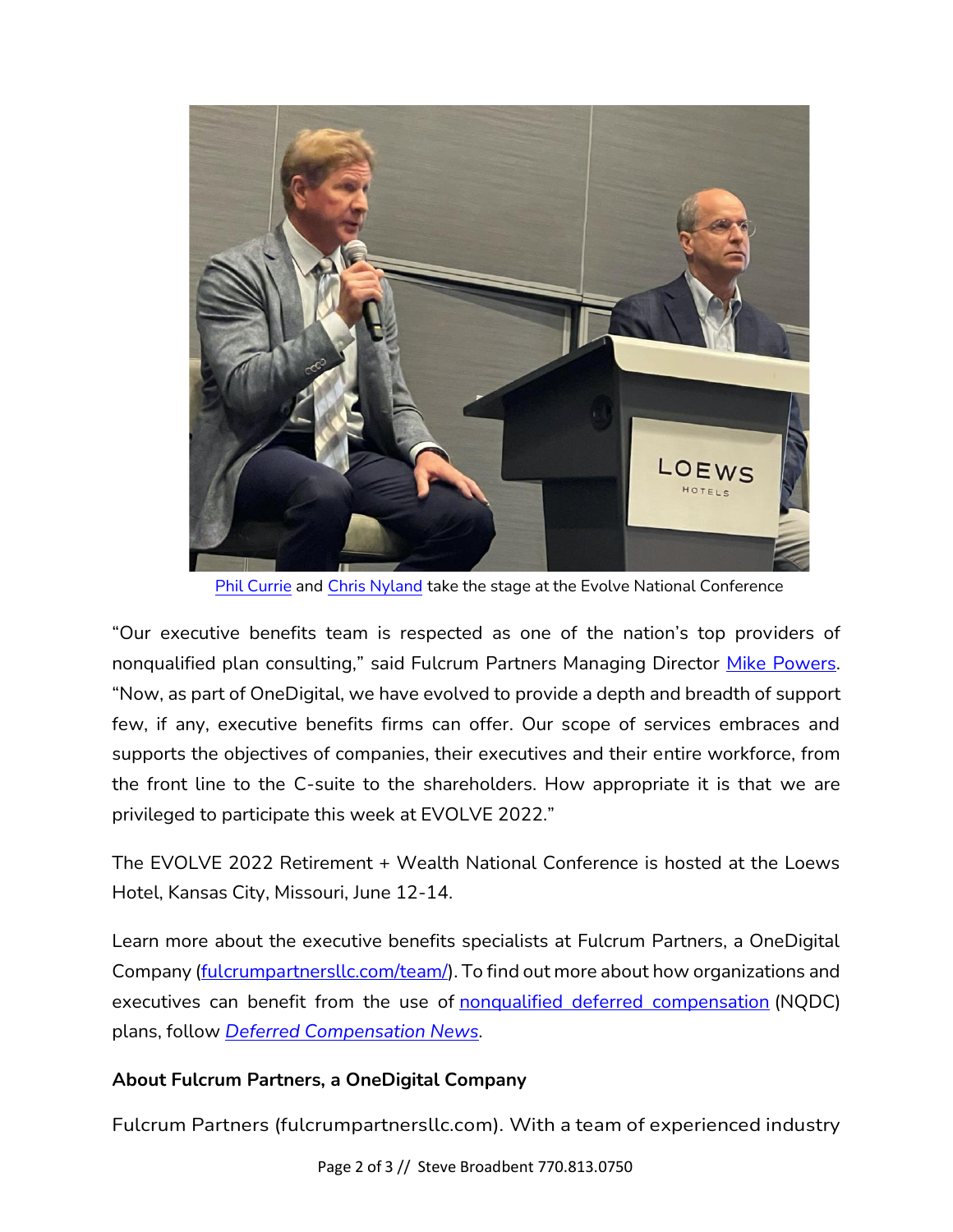

[Phil Currie a](https://fulcrumpartnersllc.com/team/phil-currie/)nd [Chris Nyland t](https://fulcrumpartnersllc.com/team/chris-nyland/)ake the stage at the Evolve National Conference

"Our executive benefits team is respected as one of the nation's top providers of nonqualified plan consulting," said Fulcrum Partners Managing Director [Mike Powers.](https://fulcrumpartnersllc.com/team/mike-powers/) "Now, as part of OneDigital, we have evolved to provide a depth and breadth of support few, if any, executive benefits firms can offer. Our scope of services embraces and supports the objectives of companies, their executives and their entire workforce, from the front line to the C-suite to the shareholders. How appropriate it is that we are privileged to participate this week at EVOLVE 2022."

The EVOLVE 2022 Retirement + Wealth National Conference is hosted at the Loews Hotel, Kansas City, Missouri, June 12-14.

Learn more about the executive benefits specialists at Fulcrum Partners, a OneDigital Company [\(fulcrumpartnersllc.com/team/\)](https://fulcrumpartnersllc.com/team). To find out more about how organizations and executives can benefit from the use of [nonqualified deferred compensation](https://fulcrumpartnersllc.com/409a-nonqualified-deferred-compensation/) (NQDC) plans, follow *[Deferred Compensation News.](https://www.fulcrumpartnersllc.com/news/)*

## **About Fulcrum Partners, a OneDigital Company**

Fulcrum Partners (fulcrumpartnersllc.com). With a team of experienced industry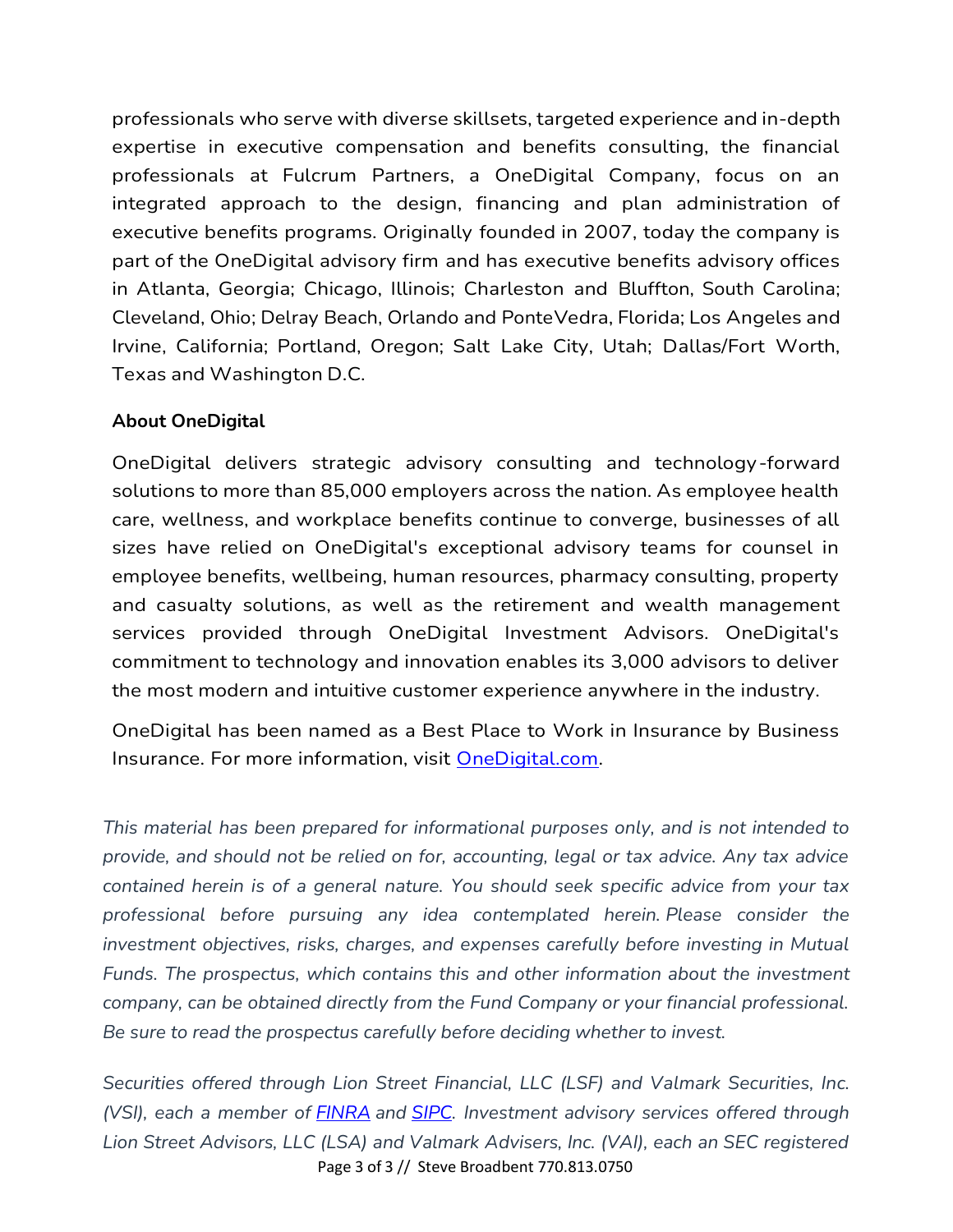professionals who serve with diverse skillsets, targeted experience and in-depth expertise in executive compensation and benefits consulting, the financial professionals at Fulcrum Partners, a OneDigital Company, focus on an integrated approach to the design, financing and plan administration of executive benefits programs. Originally founded in 2007, today the company is part of the OneDigital advisory firm and has executive benefits advisory offices in Atlanta, Georgia; Chicago, Illinois; Charleston and Bluffton, South Carolina; Cleveland, Ohio; Delray Beach, Orlando and PonteVedra, Florida; Los Angeles and Irvine, California; Portland, Oregon; Salt Lake City, Utah; Dallas/Fort Worth, Texas and Washington D.C.

## **About OneDigital**

OneDigital delivers strategic advisory consulting and technology-forward solutions to more than 85,000 employers across the nation. As employee health care, wellness, and workplace benefits continue to converge, businesses of all sizes have relied on OneDigital's exceptional advisory teams for counsel in employee benefits, wellbeing, human resources, pharmacy consulting, property and casualty solutions, as well as the retirement and wealth management services provided through OneDigital Investment Advisors. OneDigital's commitment to technology and innovation enables its 3,000 advisors to deliver the most modern and intuitive customer experience anywhere in the industry.

OneDigital has been named as a Best Place to Work in Insurance by Business Insurance. For more information, visit [OneDigital.com.](https://cts.businesswire.com/ct/CT?id=smartlink&url=http%3A%2F%2Fwww.onedigital.com%2F&esheet=52688955&newsitemid=20220418005360&lan=en-US&anchor=OneDigital.com&index=2&md5=6c1b827ebce78967705a2d49a2f9b569)

*This material has been prepared for informational purposes only, and is not intended to provide, and should not be relied on for, accounting, legal or tax advice. Any tax advice contained herein is of a general nature. You should seek specific advice from your tax professional before pursuing any idea contemplated herein. Please consider the investment objectives, risks, charges, and expenses carefully before investing in Mutual*  Funds. The prospectus, which contains this and other information about the investment *company, can be obtained directly from the Fund Company or your financial professional. Be sure to read the prospectus carefully before deciding whether to invest.*

Page 3 of 3 // Steve Broadbent 770.813.0750 *Securities offered through Lion Street Financial, LLC (LSF) and Valmark Securities, Inc. (VSI), each a member of [FINRA](http://www.finra.org/) and [SIPC.](https://www.sipc.org/) Investment advisory services offered through Lion Street Advisors, LLC (LSA) and Valmark Advisers, Inc. (VAI), each an SEC registered*